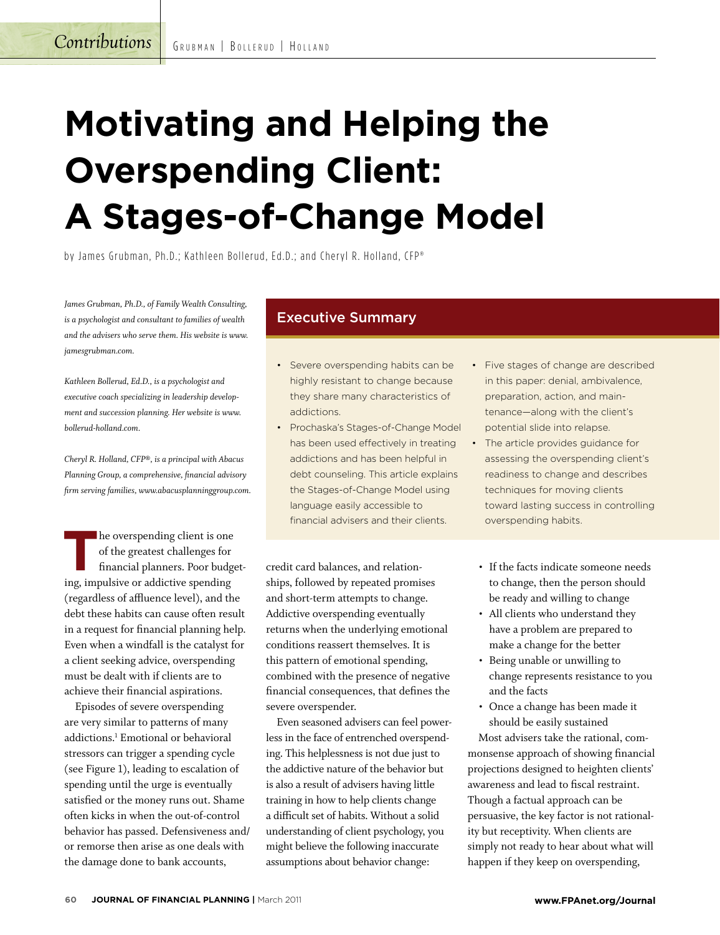# **Motivating and Helping the Overspending Client: A Stages-of-Change Model**

by James Grubman, Ph.D.; Kathleen Bollerud, Ed.D.; and Cheryl R. Holland, CFP®

*James Grubman, Ph.D., of Family Wealth Consulting, is a psychologist and consultant to families of wealth and the advisers who serve them. His website is www. jamesgrubman.com.* 

*Kathleen Bollerud, Ed.D., is a psychologist and executive coach specializing in leadership development and succession planning. Her website is www. bollerud-holland.com.* 

*Cheryl R. Holland, CFP®, is a principal with Abacus Planning Group, a comprehensive, fi nancial advisory fi rm serving families, www.abacusplanninggroup.com.* 

**The overspending client is one**<br>
of the greatest challenges for<br>
financial planners. Poor budgetof the greatest challenges for ing, impulsive or addictive spending (regardless of affluence level), and the debt these habits can cause often result in a request for financial planning help. Even when a windfall is the catalyst for a client seeking advice, overspending must be dealt with if clients are to achieve their financial aspirations.

 Episodes of severe overspending are very similar to patterns of many addictions.1 Emotional or behavioral stressors can trigger a spending cycle (see Figure 1), leading to escalation of spending until the urge is eventually satisfied or the money runs out. Shame often kicks in when the out-of-control behavior has passed. Defensiveness and/ or remorse then arise as one deals with the damage done to bank accounts,

# Executive Summary

- Severe overspending habits can be highly resistant to change because they share many characteristics of addictions.
- Prochaska's Stages-of-Change Model has been used effectively in treating addictions and has been helpful in debt counseling. This article explains the Stages-of-Change Model using language easily accessible to financial advisers and their clients.
- Five stages of change are described in this paper: denial, ambivalence, preparation, action, and maintenance—along with the client's potential slide into relapse.
- The article provides guidance for assessing the overspending client's readiness to change and describes techniques for moving clients toward lasting success in controlling overspending habits.

credit card balances, and relationships, followed by repeated promises and short-term attempts to change. Addictive overspending eventually returns when the underlying emotional conditions reassert themselves. It is this pattern of emotional spending, combined with the presence of negative financial consequences, that defines the severe overspender.

 Even seasoned advisers can feel powerless in the face of entrenched overspending. This helplessness is not due just to the addictive nature of the behavior but is also a result of advisers having little training in how to help clients change a difficult set of habits. Without a solid understanding of client psychology, you might believe the following inaccurate assumptions about behavior change:

- If the facts indicate someone needs to change, then the person should be ready and willing to change
- All clients who understand they have a problem are prepared to make a change for the better
- Being unable or unwilling to change represents resistance to you and the facts
- Once a change has been made it should be easily sustained

 Most advisers take the rational, commonsense approach of showing financial projections designed to heighten clients' awareness and lead to fiscal restraint. Though a factual approach can be persuasive, the key factor is not rationality but receptivity. When clients are simply not ready to hear about what will happen if they keep on overspending,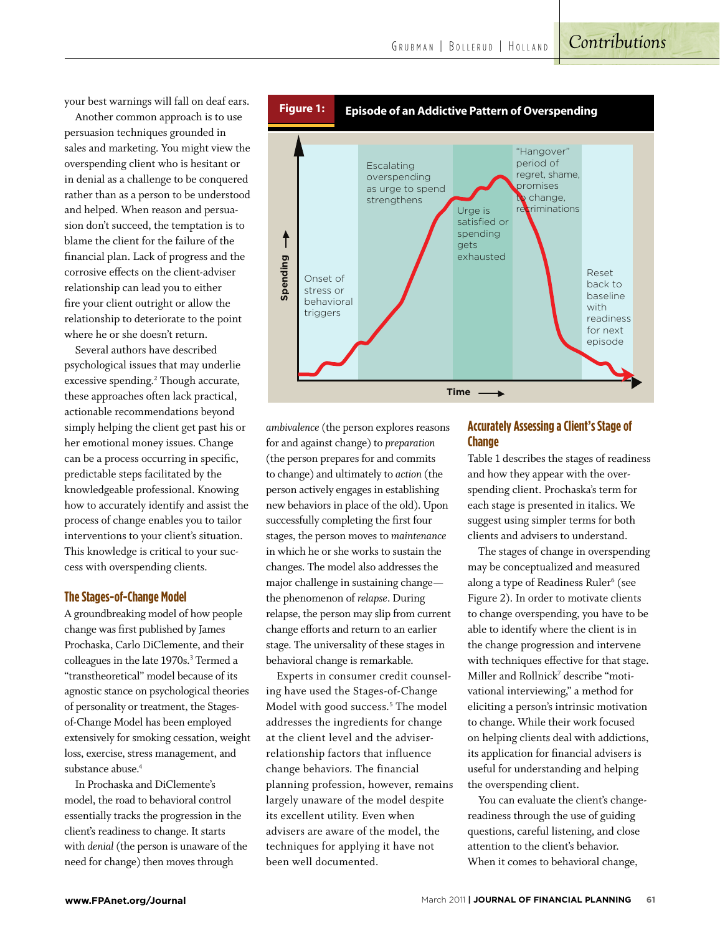**Figure 1: Episode of an Addictive Pattern of Overspending** "Hangover" period of Escalating regret, shame, overspending promises as urge to spend change, strengthens triminations Urge is satisfied or spending  $\uparrow$ gets exhausted Spending **Spending** Reset Onset of back to stress or baseline behavioral with triggers readiness for next episode **Time**

*ambivalence* (the person explores reasons for and against change) to *preparation* (the person prepares for and commits to change) and ultimately to *action* (the person actively engages in establishing new behaviors in place of the old). Upon successfully completing the first four stages, the person moves to *maintenance* in which he or she works to sustain the changes. The model also addresses the major challenge in sustaining change the phenomenon of *relapse*. During relapse, the person may slip from current change efforts and return to an earlier stage. The universality of these stages in behavioral change is remarkable.

 Experts in consumer credit counseling have used the Stages-of-Change Model with good success.<sup>5</sup> The model addresses the ingredients for change at the client level and the adviserrelationship factors that influence change behaviors. The financial planning profession, however, remains largely unaware of the model despite its excellent utility. Even when advisers are aware of the model, the techniques for applying it have not been well documented.

# **Accurately Assessing a Client's Stage of Change**

Table 1 describes the stages of readiness and how they appear with the overspending client. Prochaska's term for each stage is presented in italics. We suggest using simpler terms for both clients and advisers to understand.

 The stages of change in overspending may be conceptualized and measured along a type of Readiness Ruler<sup>6</sup> (see Figure 2). In order to motivate clients to change overspending, you have to be able to identify where the client is in the change progression and intervene with techniques effective for that stage. Miller and Rollnick7 describe "motivational interviewing," a method for eliciting a person's intrinsic motivation to change. While their work focused on helping clients deal with addictions, its application for financial advisers is useful for understanding and helping the overspending client.

 You can evaluate the client's changereadiness through the use of guiding questions, careful listening, and close attention to the client's behavior. When it comes to behavioral change,

your best warnings will fall on deaf ears.

 Another common approach is to use persuasion techniques grounded in sales and marketing. You might view the overspending client who is hesitant or in denial as a challenge to be conquered rather than as a person to be understood and helped. When reason and persuasion don't succeed, the temptation is to blame the client for the failure of the financial plan. Lack of progress and the corrosive effects on the client-adviser relationship can lead you to either fire your client outright or allow the relationship to deteriorate to the point where he or she doesn't return.

 Several authors have described psychological issues that may underlie excessive spending.<sup>2</sup> Though accurate, these approaches often lack practical, actionable recommendations beyond simply helping the client get past his or her emotional money issues. Change can be a process occurring in specific, predictable steps facilitated by the knowledgeable professional. Knowing how to accurately identify and assist the process of change enables you to tailor interventions to your client's situation. This knowledge is critical to your success with overspending clients.

## **The Stages-of-Change Model**

A groundbreaking model of how people change was first published by James Prochaska, Carlo DiClemente, and their colleagues in the late 1970s.<sup>3</sup> Termed a "trans theoretical" model because of its agnostic stance on psychological theories of personality or treatment, the Stagesof-Change Model has been employed extensively for smoking cessation, weight loss, exercise, stress management, and substance abuse.<sup>4</sup>

 In Prochaska and DiClemente's model, the road to behavioral control essentially tracks the progression in the client's readiness to change. It starts with *denial* (the person is unaware of the need for change) then moves through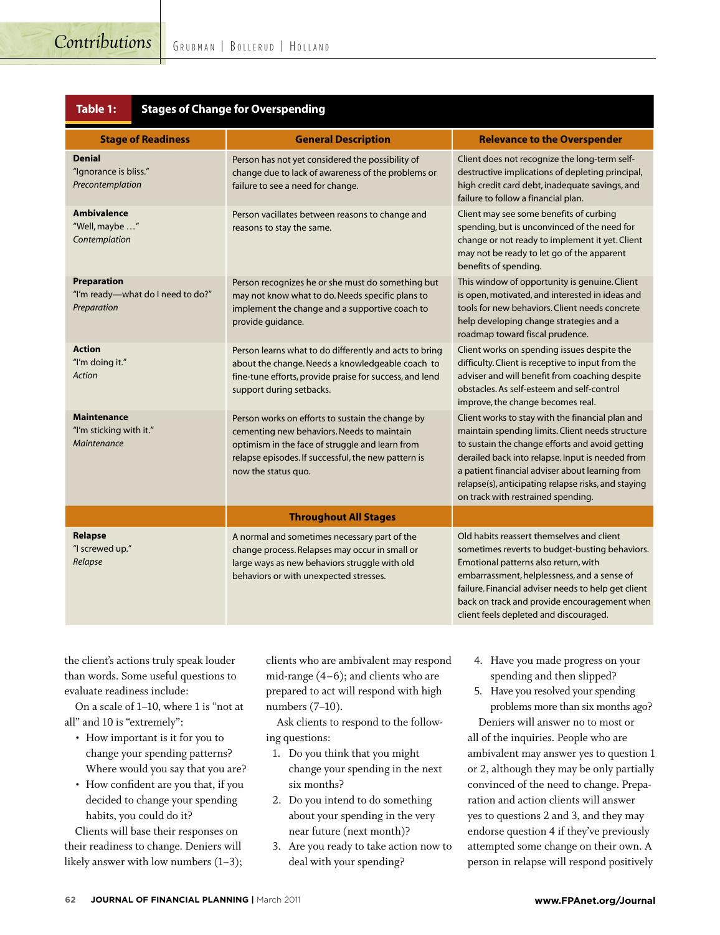| <b>Stages of Change for Overspending</b><br>Table 1:                   |                                                                                                                                                                                                                                 |                                                                                                                                                                                                                                                                                                                                                             |
|------------------------------------------------------------------------|---------------------------------------------------------------------------------------------------------------------------------------------------------------------------------------------------------------------------------|-------------------------------------------------------------------------------------------------------------------------------------------------------------------------------------------------------------------------------------------------------------------------------------------------------------------------------------------------------------|
| <b>Stage of Readiness</b>                                              | <b>General Description</b>                                                                                                                                                                                                      | <b>Relevance to the Overspender</b>                                                                                                                                                                                                                                                                                                                         |
| <b>Denial</b><br>"Ignorance is bliss."<br>Precontemplation             | Person has not yet considered the possibility of<br>change due to lack of awareness of the problems or<br>failure to see a need for change.                                                                                     | Client does not recognize the long-term self-<br>destructive implications of depleting principal,<br>high credit card debt, inadequate savings, and<br>failure to follow a financial plan.                                                                                                                                                                  |
| <b>Ambivalence</b><br>"Well, maybe "<br>Contemplation                  | Person vacillates between reasons to change and<br>reasons to stay the same.                                                                                                                                                    | Client may see some benefits of curbing<br>spending, but is unconvinced of the need for<br>change or not ready to implement it yet. Client<br>may not be ready to let go of the apparent<br>benefits of spending.                                                                                                                                           |
| <b>Preparation</b><br>"I'm ready-what do I need to do?"<br>Preparation | Person recognizes he or she must do something but<br>may not know what to do. Needs specific plans to<br>implement the change and a supportive coach to<br>provide guidance.                                                    | This window of opportunity is genuine. Client<br>is open, motivated, and interested in ideas and<br>tools for new behaviors. Client needs concrete<br>help developing change strategies and a<br>roadmap toward fiscal prudence.                                                                                                                            |
| <b>Action</b><br>"I'm doing it."<br><b>Action</b>                      | Person learns what to do differently and acts to bring<br>about the change. Needs a knowledgeable coach to<br>fine-tune efforts, provide praise for success, and lend<br>support during setbacks.                               | Client works on spending issues despite the<br>difficulty. Client is receptive to input from the<br>adviser and will benefit from coaching despite<br>obstacles. As self-esteem and self-control<br>improve, the change becomes real.                                                                                                                       |
| <b>Maintenance</b><br>"I'm sticking with it."<br>Maintenance           | Person works on efforts to sustain the change by<br>cementing new behaviors. Needs to maintain<br>optimism in the face of struggle and learn from<br>relapse episodes. If successful, the new pattern is<br>now the status quo. | Client works to stay with the financial plan and<br>maintain spending limits. Client needs structure<br>to sustain the change efforts and avoid getting<br>derailed back into relapse. Input is needed from<br>a patient financial adviser about learning from<br>relapse(s), anticipating relapse risks, and staying<br>on track with restrained spending. |
|                                                                        | <b>Throughout All Stages</b>                                                                                                                                                                                                    |                                                                                                                                                                                                                                                                                                                                                             |
| Relapse<br>"I screwed up."<br>Relapse                                  | A normal and sometimes necessary part of the<br>change process. Relapses may occur in small or<br>large ways as new behaviors struggle with old<br>behaviors or with unexpected stresses.                                       | Old habits reassert themselves and client<br>sometimes reverts to budget-busting behaviors.<br>Emotional patterns also return, with<br>embarrassment, helplessness, and a sense of<br>failure. Financial adviser needs to help get client<br>back on track and provide encouragement when<br>client feels depleted and discouraged.                         |

the client's actions truly speak louder than words. Some useful questions to evaluate readiness include:

 On a scale of 1–10, where 1 is "not at all" and 10 is "extremely":

- How important is it for you to change your spending patterns? Where would you say that you are?
- How confident are you that, if you decided to change your spending habits, you could do it?

 Clients will base their responses on their readiness to change. Deniers will likely answer with low numbers (1–3); clients who are ambivalent may respond mid-range (4–6); and clients who are prepared to act will respond with high numbers (7–10).

 Ask clients to respond to the following questions:

- 1. Do you think that you might change your spending in the next six months?
- 2. Do you intend to do something about your spending in the very near future (next month)?
- 3. Are you ready to take action now to deal with your spending?

4. Have you made progress on your spending and then slipped?

5. Have you resolved your spending problems more than six months ago?

 Deniers will answer no to most or all of the inquiries. People who are ambivalent may answer yes to question 1 or 2, although they may be only partially convinced of the need to change. Preparation and action clients will answer yes to questions 2 and 3, and they may endorse question 4 if they've previously attempted some change on their own. A person in relapse will respond positively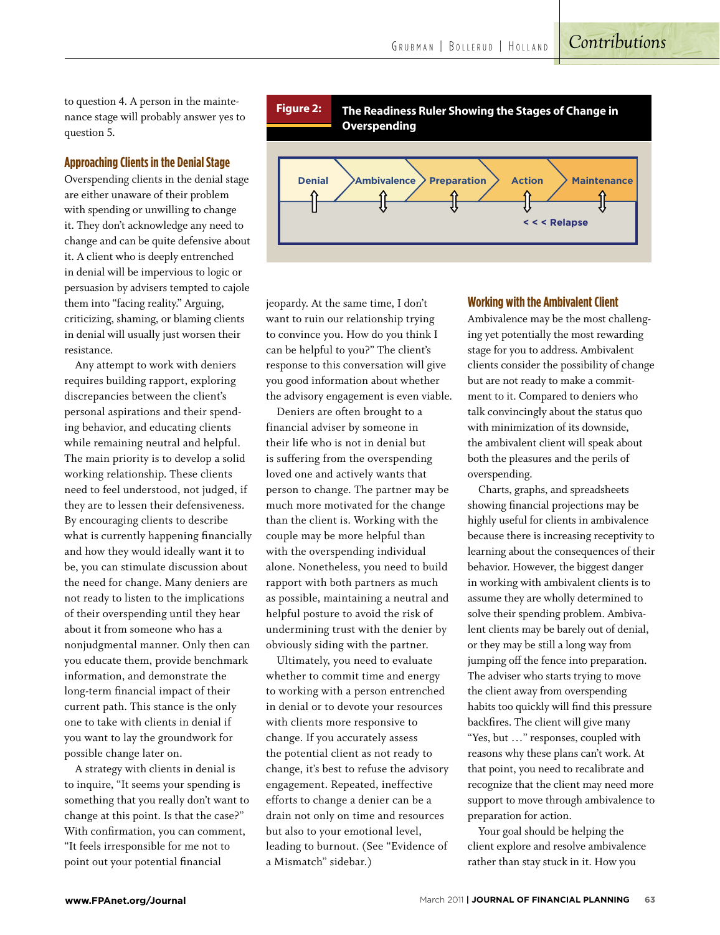GRUBMAN | BOLLERUD | HOLLAND | Contributions

to question 4. A person in the maintenance stage will probably answer yes to question 5.

## **Approaching Clients in the Denial Stage**

Overspending clients in the denial stage are either unaware of their problem with spending or unwilling to change it. They don't acknowledge any need to change and can be quite defensive about it. A client who is deeply entrenched in denial will be impervious to logic or persuasion by advisers tempted to cajole them into "facing reality." Arguing, criticizing, shaming, or blaming clients in denial will usually just worsen their resistance.

 Any attempt to work with deniers requires building rapport, exploring discrepancies between the client's personal aspirations and their spending behavior, and educating clients while remaining neutral and helpful. The main priority is to develop a solid working relationship. These clients need to feel understood, not judged, if they are to lessen their defensiveness. By encouraging clients to describe what is currently happening financially and how they would ideally want it to be, you can stimulate discussion about the need for change. Many deniers are not ready to listen to the implications of their overspending until they hear about it from someone who has a nonjudgmental manner. Only then can you educate them, provide benchmark information, and demonstrate the long-term financial impact of their current path. This stance is the only one to take with clients in denial if you want to lay the groundwork for possible change later on.

 A strategy with clients in denial is to inquire, "It seems your spending is something that you really don't want to change at this point. Is that the case?" With confirmation, you can comment, "It feels irresponsible for me not to point out your potential financial



jeopardy. At the same time, I don't want to ruin our relationship trying to convince you. How do you think I can be helpful to you?" The client's response to this conversation will give you good information about whether the advisory engagement is even viable.

 Deniers are often brought to a financial adviser by someone in their life who is not in denial but is suffering from the overspending loved one and actively wants that person to change. The partner may be much more motivated for the change than the client is. Working with the couple may be more helpful than with the overspending individual alone. Nonetheless, you need to build rapport with both partners as much as possible, maintaining a neutral and helpful posture to avoid the risk of undermining trust with the denier by obviously siding with the partner.

 Ultimately, you need to evaluate whether to commit time and energy to working with a person entrenched in denial or to devote your resources with clients more responsive to change. If you accurately assess the potential client as not ready to change, it's best to refuse the advisory engagement. Repeated, ineffective efforts to change a denier can be a drain not only on time and resources but also to your emotional level, leading to burnout. (See "Evidence of a Mismatch" sidebar.)

#### **Working with the Ambivalent Client**

Ambivalence may be the most challenging yet potentially the most rewarding stage for you to address. Ambivalent clients consider the possibility of change but are not ready to make a commitment to it. Compared to deniers who talk convincingly about the status quo with minimization of its downside, the ambivalent client will speak about both the pleasures and the perils of overspending.

 Charts, graphs, and spreadsheets showing financial projections may be highly useful for clients in ambivalence because there is increasing receptivity to learning about the consequences of their behavior. However, the biggest danger in working with ambivalent clients is to assume they are wholly determined to solve their spending problem. Ambivalent clients may be barely out of denial, or they may be still a long way from jumping off the fence into preparation. The adviser who starts trying to move the client away from overspending habits too quickly will find this pressure backfires. The client will give many "Yes, but …" responses, coupled with reasons why these plans can't work. At that point, you need to recalibrate and recognize that the client may need more support to move through ambivalence to preparation for action.

 Your goal should be helping the client explore and resolve ambivalence rather than stay stuck in it. How you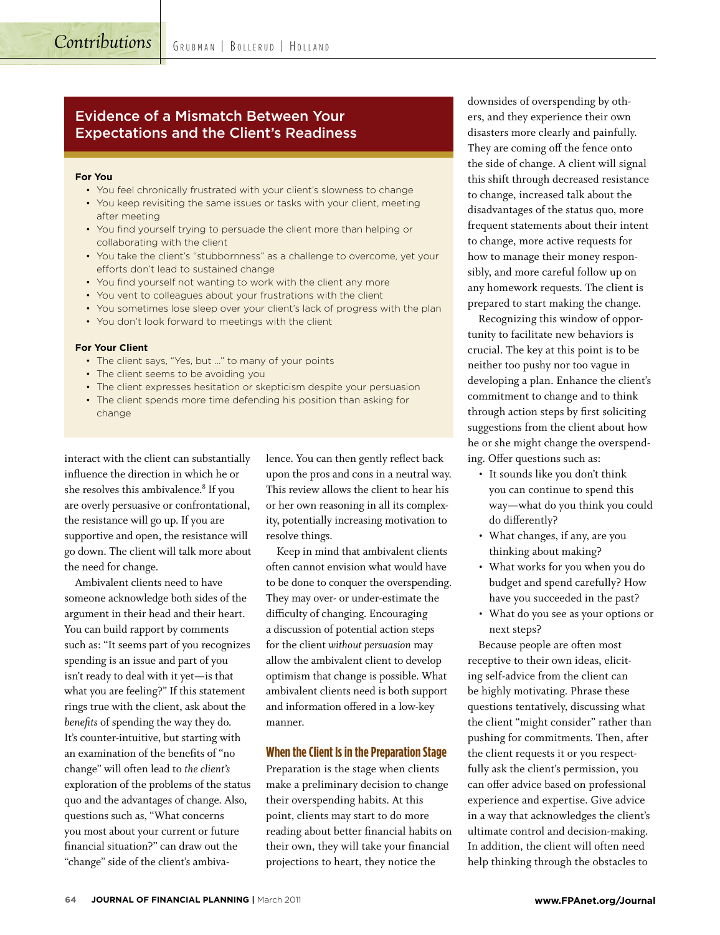# Evidence of a Mismatch Between Your Expectations and the Client's Readiness

#### **For You**

- You feel chronically frustrated with your client's slowness to change
- You keep revisiting the same issues or tasks with your client, meeting after meeting
- You find yourself trying to persuade the client more than helping or collaborating with the client
- You take the client's "stubbornness" as a challenge to overcome, yet your efforts don't lead to sustained change
- You find yourself not wanting to work with the client any more
- You vent to colleagues about your frustrations with the client
- You sometimes lose sleep over your client's lack of progress with the plan
- You don't look forward to meetings with the client

#### **For Your Client**

- The client says, "Yes, but …" to many of your points
- The client seems to be avoiding you
- The client expresses hesitation or skepticism despite your persuasion
- The client spends more time defending his position than asking for change

interact with the client can substantially influence the direction in which he or she resolves this ambivalence.<sup>8</sup> If you are overly persuasive or confrontational, the resistance will go up. If you are supportive and open, the resistance will go down. The client will talk more about the need for change.

 Ambivalent clients need to have someone acknowledge both sides of the argument in their head and their heart. You can build rapport by comments such as: "It seems part of you recognizes spending is an issue and part of you isn't ready to deal with it yet—is that what you are feeling?" If this statement rings true with the client, ask about the *benefits* of spending the way they do. It's counter-intuitive, but starting with an examination of the benefits of "no change" will often lead to *the client's*  exploration of the problems of the status quo and the advantages of change. Also, questions such as, "What concerns you most about your current or future financial situation?" can draw out the "change" side of the client's ambivalence. You can then gently reflect back upon the pros and cons in a neutral way. This review allows the client to hear his or her own reasoning in all its complexity, potentially increasing motivation to resolve things.

 Keep in mind that ambivalent clients often cannot envision what would have to be done to conquer the overspending. They may over- or under-estimate the difficulty of changing. Encouraging a discussion of potential action steps for the client *without persuasion* may allow the ambivalent client to develop optimism that change is possible. What ambivalent clients need is both support and information offered in a low-key manner.

#### **When the Client Is in the Preparation Stage**

Preparation is the stage when clients make a preliminary decision to change their overspending habits. At this point, clients may start to do more reading about better financial habits on their own, they will take your financial projections to heart, they notice the

downsides of overspending by others, and they experience their own disasters more clearly and painfully. They are coming off the fence onto the side of change. A client will signal this shift through decreased resistance to change, increased talk about the disadvantages of the status quo, more frequent statements about their intent to change, more active requests for how to manage their money responsibly, and more careful follow up on any homework requests. The client is prepared to start making the change.

 Recognizing this window of opportunity to facilitate new behaviors is crucial. The key at this point is to be neither too pushy nor too vague in developing a plan. Enhance the client's commitment to change and to think through action steps by first soliciting suggestions from the client about how he or she might change the overspending. Offer questions such as:

- It sounds like you don't think you can continue to spend this way—what do you think you could do differently?
- What changes, if any, are you thinking about making?
- What works for you when you do budget and spend carefully? How have you succeeded in the past?
- What do you see as your options or next steps?

 Because people are often most receptive to their own ideas, eliciting self-advice from the client can be highly motivating. Phrase these questions tentatively, discussing what the client "might consider" rather than pushing for commitments. Then, after the client requests it or you respectfully ask the client's permission, you can offer advice based on professional experience and expertise. Give advice in a way that acknowledges the client's ultimate control and decision-making. In addition, the client will often need help thinking through the obstacles to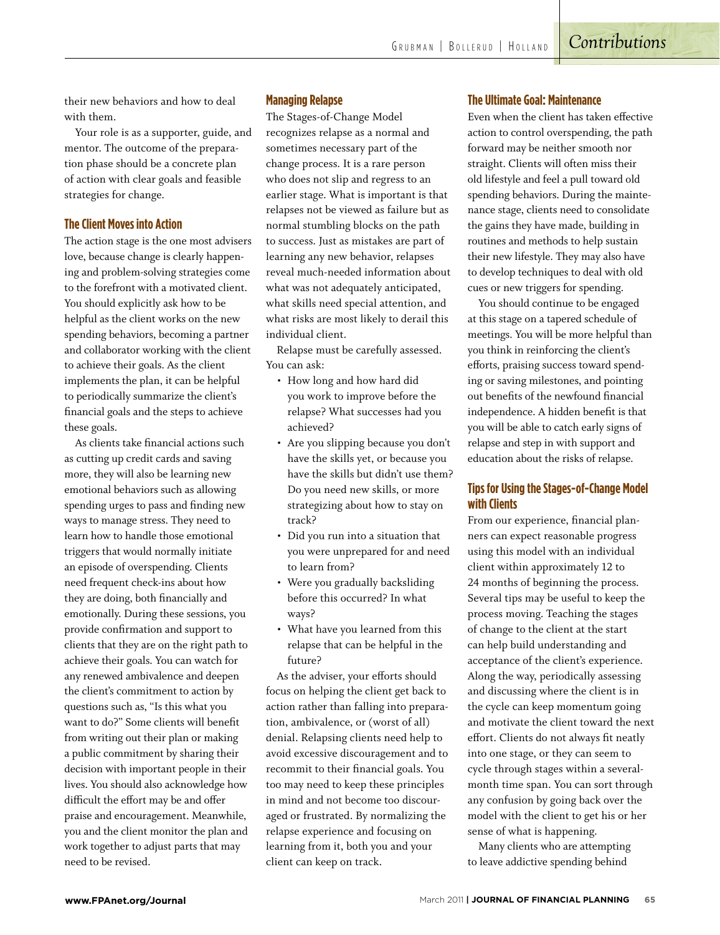GRUBMAN | BOLLERUD | HOLLAND | Contributions

their new behaviors and how to deal with them.

 Your role is as a supporter, guide, and mentor. The outcome of the preparation phase should be a concrete plan of action with clear goals and feasible strategies for change.

# **The Client Moves into Action**

The action stage is the one most advisers love, because change is clearly happening and problem-solving strategies come to the forefront with a motivated client. You should explicitly ask how to be helpful as the client works on the new spending behaviors, becoming a partner and collaborator working with the client to achieve their goals. As the client implements the plan, it can be helpful to periodically summarize the client's financial goals and the steps to achieve these goals.

As clients take financial actions such as cutting up credit cards and saving more, they will also be learning new emotional behaviors such as allowing spending urges to pass and finding new ways to manage stress. They need to learn how to handle those emotional triggers that would normally initiate an episode of overspending. Clients need frequent check-ins about how they are doing, both financially and emotionally. During these sessions, you provide confirmation and support to clients that they are on the right path to achieve their goals. You can watch for any renewed ambivalence and deepen the client's commitment to action by questions such as, "Is this what you want to do?" Some clients will benefit from writing out their plan or making a public commitment by sharing their decision with important people in their lives. You should also acknowledge how difficult the effort may be and offer praise and encouragement. Meanwhile, you and the client monitor the plan and work together to adjust parts that may need to be revised.

# **Managing Relapse**

The Stages-of-Change Model recognizes relapse as a normal and sometimes necessary part of the change process. It is a rare person who does not slip and regress to an earlier stage. What is important is that relapses not be viewed as failure but as normal stumbling blocks on the path to success. Just as mistakes are part of learning any new behavior, relapses reveal much-needed information about what was not adequately anticipated, what skills need special attention, and what risks are most likely to derail this individual client.

 Relapse must be carefully assessed. You can ask:

- How long and how hard did you work to improve before the relapse? What successes had you achieved?
- Are you slipping because you don't have the skills yet, or because you have the skills but didn't use them? Do you need new skills, or more strategizing about how to stay on track?
- Did you run into a situation that you were unprepared for and need to learn from?
- Were you gradually backsliding before this occurred? In what ways?
- What have you learned from this relapse that can be helpful in the future?

As the adviser, your efforts should focus on helping the client get back to action rather than falling into preparation, ambivalence, or (worst of all) denial. Relapsing clients need help to avoid excessive discouragement and to recommit to their financial goals. You too may need to keep these principles in mind and not become too discouraged or frustrated. By normalizing the relapse experience and focusing on learning from it, both you and your client can keep on track.

## **The Ultimate Goal: Maintenance**

Even when the client has taken effective action to control overspending, the path forward may be neither smooth nor straight. Clients will often miss their old lifestyle and feel a pull toward old spending behaviors. During the maintenance stage, clients need to consolidate the gains they have made, building in routines and methods to help sustain their new lifestyle. They may also have to develop techniques to deal with old cues or new triggers for spending.

 You should continue to be engaged at this stage on a tapered schedule of meetings. You will be more helpful than you think in reinforcing the client's efforts, praising success toward spending or saving milestones, and pointing out benefits of the newfound financial independence. A hidden benefit is that you will be able to catch early signs of relapse and step in with support and education about the risks of relapse.

# **Tips for Using the Stages-of-Change Model with Clients**

From our experience, financial planners can expect reasonable progress using this model with an individual client within approximately 12 to 24 months of beginning the process. Several tips may be useful to keep the process moving. Teaching the stages of change to the client at the start can help build understanding and acceptance of the client's experience. Along the way, periodically assessing and discussing where the client is in the cycle can keep momentum going and motivate the client toward the next effort. Clients do not always fit neatly into one stage, or they can seem to cycle through stages within a severalmonth time span. You can sort through any confusion by going back over the model with the client to get his or her sense of what is happening.

 Many clients who are attempting to leave addictive spending behind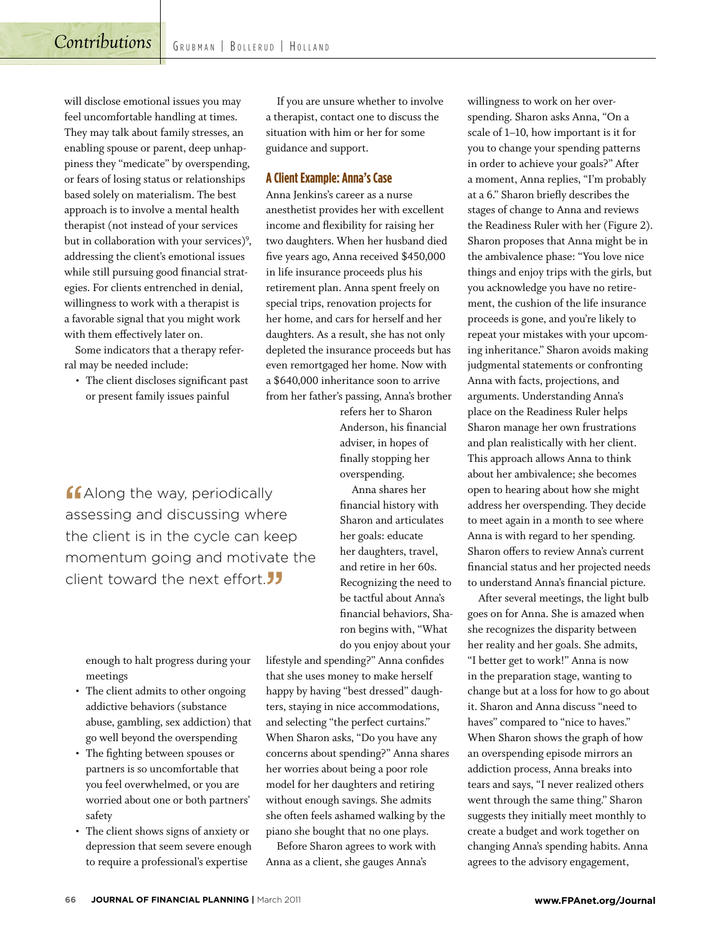will disclose emotional issues you may feel uncomfortable handling at times. They may talk about family stresses, an enabling spouse or parent, deep unhappiness they "medicate" by overspending, or fears of losing status or relationships based solely on materialism. The best approach is to involve a mental health therapist (not instead of your services but in collaboration with your services) $9$ , addressing the client's emotional issues while still pursuing good financial strategies. For clients entrenched in denial, willingness to work with a therapist is a favorable signal that you might work with them effectively later on.

 Some indicators that a therapy referral may be needed include:

• The client discloses significant past or present family issues painful

**"** Along the way, periodically<br>assessing and discussing where assessing and discussing where the client is in the cycle can keep momentum going and motivate the client toward the next effort. $JJ$ 

enough to halt progress during your meetings

- The client admits to other ongoing addictive behaviors (substance abuse, gambling, sex addiction) that go well beyond the overspending
- The fighting between spouses or partners is so uncomfortable that you feel overwhelmed, or you are worried about one or both partners' safety
- The client shows signs of anxiety or depression that seem severe enough to require a professional's expertise

 If you are unsure whether to involve a therapist, contact one to discuss the situation with him or her for some guidance and support.

## **A Client Example: Anna's Case**

Anna Jenkins's career as a nurse anesthetist provides her with excellent income and flexibility for raising her two daughters. When her husband died five years ago, Anna received \$450,000 in life insurance proceeds plus his retirement plan. Anna spent freely on special trips, renovation projects for her home, and cars for herself and her daughters. As a result, she has not only depleted the insurance proceeds but has even remortgaged her home. Now with a \$640,000 inheritance soon to arrive from her father's passing, Anna's brother

> refers her to Sharon Anderson, his financial adviser, in hopes of finally stopping her overspending.

 Anna shares her financial history with Sharon and articulates her goals: educate her daughters, travel, and retire in her 60s. Recognizing the need to be tactful about Anna's financial behaviors, Sharon begins with, "What do you enjoy about your

lifestyle and spending?" Anna confides that she uses money to make herself happy by having "best dressed" daughters, staying in nice accommodations, and selecting "the perfect curtains." When Sharon asks, "Do you have any concerns about spending?" Anna shares her worries about being a poor role model for her daughters and retiring without enough savings. She admits she often feels ashamed walking by the piano she bought that no one plays.

 Before Sharon agrees to work with Anna as a client, she gauges Anna's

willingness to work on her overspending. Sharon asks Anna, "On a scale of 1–10, how important is it for you to change your spending patterns in order to achieve your goals?" After a moment, Anna replies, "I'm probably at a 6." Sharon briefly describes the stages of change to Anna and reviews the Readiness Ruler with her (Figure 2). Sharon proposes that Anna might be in the ambivalence phase: "You love nice things and enjoy trips with the girls, but you acknowledge you have no retirement, the cushion of the life insurance proceeds is gone, and you're likely to repeat your mistakes with your upcoming inheritance." Sharon avoids making judgmental statements or confronting Anna with facts, projections, and arguments. Understanding Anna's place on the Readiness Ruler helps Sharon manage her own frustrations and plan realistically with her client. This approach allows Anna to think about her ambivalence; she becomes open to hearing about how she might address her overspending. They decide to meet again in a month to see where Anna is with regard to her spending. Sharon offers to review Anna's current financial status and her projected needs to understand Anna's financial picture.

 After several meetings, the light bulb goes on for Anna. She is amazed when she recognizes the disparity between her reality and her goals. She admits, "I better get to work!" Anna is now in the preparation stage, wanting to change but at a loss for how to go about it. Sharon and Anna discuss "need to haves" compared to "nice to haves." When Sharon shows the graph of how an overspending episode mirrors an addiction process, Anna breaks into tears and says, "I never realized others went through the same thing." Sharon suggests they initially meet monthly to create a budget and work together on changing Anna's spending habits. Anna agrees to the advisory engagement,